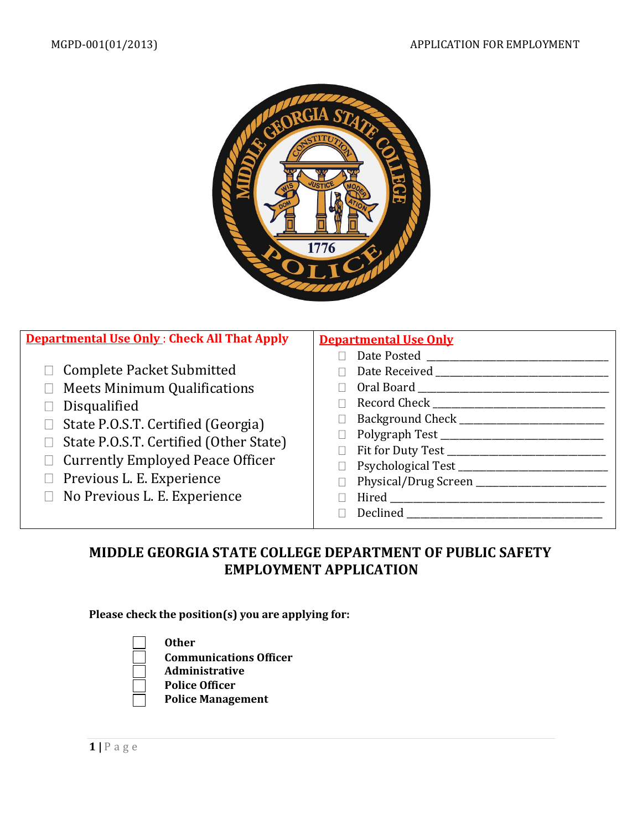

| <b>Departmental Use Only: Check All That Apply</b>                                                                                                                                                                                                                                                        | <b>Departmental Use Only</b>                                                                                                                    |
|-----------------------------------------------------------------------------------------------------------------------------------------------------------------------------------------------------------------------------------------------------------------------------------------------------------|-------------------------------------------------------------------------------------------------------------------------------------------------|
| □ Complete Packet Submitted<br><b>Meets Minimum Qualifications</b><br>Disqualified<br>State P.O.S.T. Certified (Georgia)<br>$\Box$<br>$\Box$ State P.O.S.T. Certified (Other State)<br>$\Box$ Currently Employed Peace Officer<br>$\Box$ Previous L. E. Experience<br>$\Box$ No Previous L. E. Experience | Date Posted<br>Background Check _______________<br>$\Box$<br>Hired <b>Executive Service Service Service Service</b><br><b>Declined Declined</b> |

## **MIDDLE GEORGIA STATE COLLEGE DEPARTMENT OF PUBLIC SAFETY EMPLOYMENT APPLICATION**

#### **Please check the position(s) you are applying for:**



- **Communications Officer**
- **Administrative**
- **Police Officer**
- **Police Management**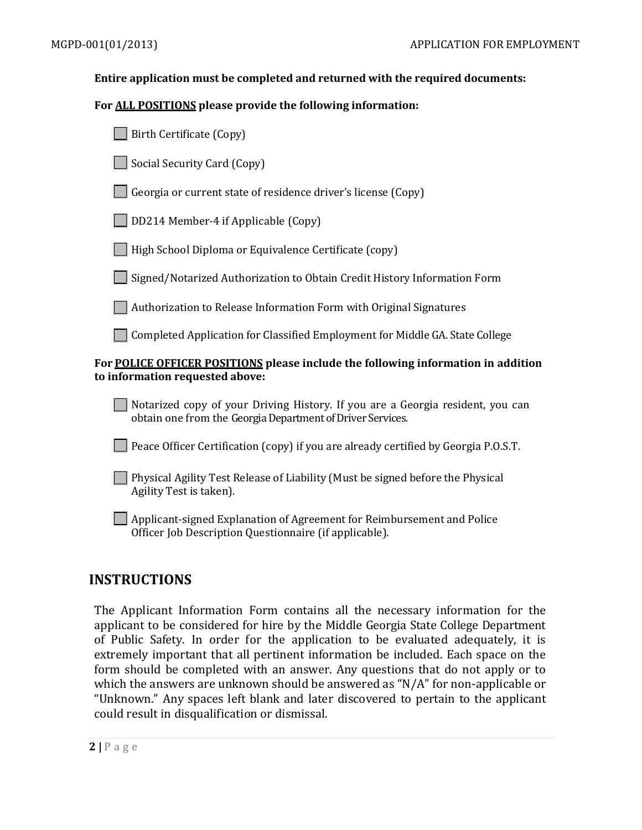#### **Entire application must be completed and returned with the required documents:**

#### **For ALL POSITIONS please provide the following information:**

| Birth Certificate (Copy)                                                                                                                     |
|----------------------------------------------------------------------------------------------------------------------------------------------|
| Social Security Card (Copy)                                                                                                                  |
| Georgia or current state of residence driver's license (Copy)                                                                                |
| DD214 Member-4 if Applicable (Copy)                                                                                                          |
| High School Diploma or Equivalence Certificate (copy)                                                                                        |
| Signed/Notarized Authorization to Obtain Credit History Information Form                                                                     |
| Authorization to Release Information Form with Original Signatures                                                                           |
| Completed Application for Classified Employment for Middle GA. State College                                                                 |
| For <u>POLICE OFFICER POSITIONS</u> please include the following information in addition<br>to information requested above:                  |
| Notarized copy of your Driving History. If you are a Georgia resident, you can<br>obtain one from the Georgia Department of Driver Services. |
| Peace Officer Certification (copy) if you are already certified by Georgia P.O.S.T.                                                          |
| Physical Agility Test Release of Liability (Must be signed before the Physical<br>Agility Test is taken).                                    |

Applicant-signed Explanation of Agreement for Reimbursement and Police Officer Job Description Questionnaire (if applicable).

#### **INSTRUCTIONS**

The Applicant Information Form contains all the necessary information for the applicant to be considered for hire by the Middle Georgia State College Department of Public Safety. In order for the application to be evaluated adequately, it is extremely important that all pertinent information be included. Each space on the form should be completed with an answer. Any questions that do not apply or to which the answers are unknown should be answered as "N/A" for non-applicable or "Unknown." Any spaces left blank and later discovered to pertain to the applicant could result in disqualification or dismissal.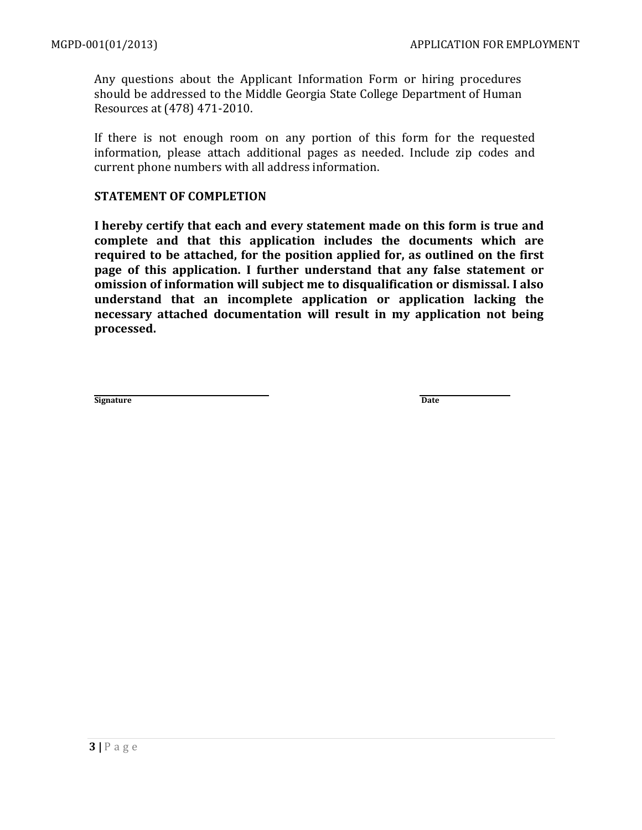Any questions about the Applicant Information Form or hiring procedures should be addressed to the Middle Georgia State College Department of Human Resources at (478) 471-2010.

If there is not enough room on any portion of this form for the requested information, please attach additional pages as needed. Include zip codes and current phone numbers with all address information.

#### **STATEMENT OF COMPLETION**

**I hereby certify that each and every statement made on this form is true and complete and that this application includes the documents which are required to be attached, for the position applied for, as outlined on the first page of this application. I further understand that any false statement or omission of information will subject me to disqualification or dismissal. I also understand that an incomplete application or application lacking the necessary attached documentation will result in my application not being processed.**

**Signature Date**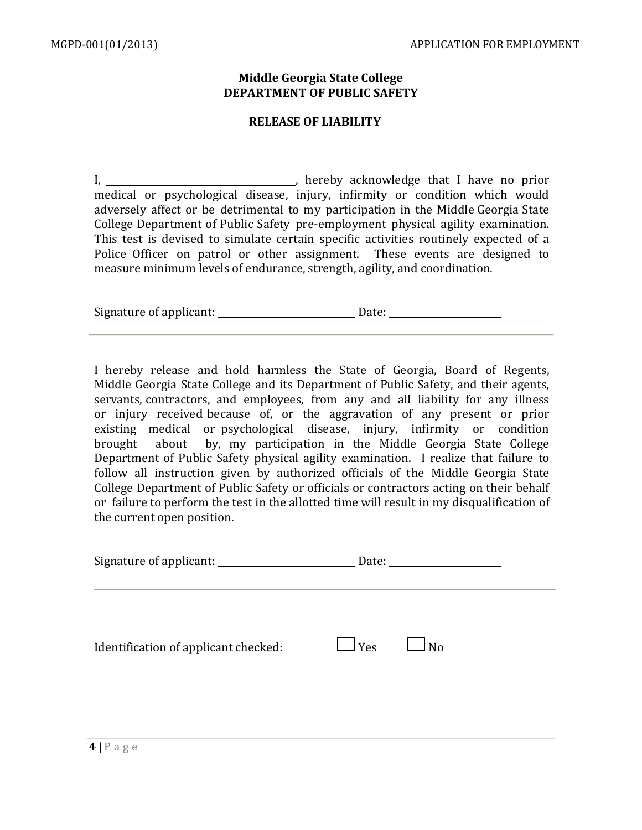#### **Middle Georgia State College DEPARTMENT OF PUBLIC SAFETY**

#### **RELEASE OF LIABILITY**

I, , hereby acknowledge that I have no prior medical or psychological disease, injury, infirmity or condition which would adversely affect or be detrimental to my participation in the Middle Georgia State College Department of Public Safety pre-employment physical agility examination. This test is devised to simulate certain specific activities routinely expected of a Police Officer on patrol or other assignment. These events are designed to measure minimum levels of endurance, strength, agility, and coordination.

| Signature of applicant: | Date: |  |
|-------------------------|-------|--|
|-------------------------|-------|--|

I hereby release and hold harmless the State of Georgia, Board of Regents, Middle Georgia State College and its Department of Public Safety, and their agents, servants, contractors, and employees, from any and all liability for any illness or injury received because of, or the aggravation of any present or prior existing medical or psychological disease, injury, infirmity or condition brought about by, my participation in the Middle Georgia State College Department of Public Safety physical agility examination. I realize that failure to follow all instruction given by authorized officials of the Middle Georgia State College Department of Public Safety or officials or contractors acting on their behalf or failure to perform the test in the allotted time will result in my disqualification of the current open position.

| Signature of applicant:              |                      | Date: <u>___________________________</u> |  |
|--------------------------------------|----------------------|------------------------------------------|--|
| Identification of applicant checked: | $\Box$ Yes $\Box$ No |                                          |  |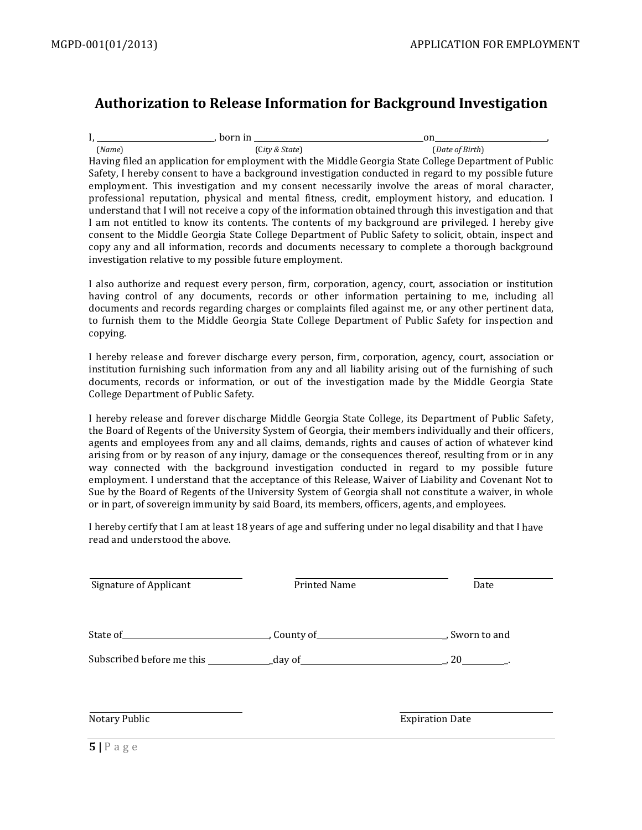## **Authorization to Release Information for Background Investigation**

| born in                                                  |                |                                                                                                           |
|----------------------------------------------------------|----------------|-----------------------------------------------------------------------------------------------------------|
| (Name)                                                   | (City & State) | (Date of Birth)                                                                                           |
|                                                          |                | Having filed an application for employment with the Middle Georgia State College Department of Public     |
|                                                          |                | Safety, I hereby consent to have a background investigation conducted in regard to my possible future     |
|                                                          |                | employment. This investigation and my consent necessarily involve the areas of moral character,           |
|                                                          |                | professional reputation, physical and mental fitness, credit, employment history, and education. I        |
|                                                          |                | understand that I will not receive a copy of the information obtained through this investigation and that |
|                                                          |                | I am not entitled to know its contents. The contents of my background are privileged. I hereby give       |
|                                                          |                | consent to the Middle Georgia State College Department of Public Safety to solicit, obtain, inspect and   |
|                                                          |                | copy any and all information, records and documents necessary to complete a thorough background           |
| investigation relative to my possible future employment. |                |                                                                                                           |

I also authorize and request every person, firm, corporation, agency, court, association or institution having control of any documents, records or other information pertaining to me, including all documents and records regarding charges or complaints filed against me, or any other pertinent data, to furnish them to the Middle Georgia State College Department of Public Safety for inspection and copying.

I hereby release and forever discharge every person, firm, corporation, agency, court, association or institution furnishing such information from any and all liability arising out of the furnishing of such documents, records or information, or out of the investigation made by the Middle Georgia State College Department of Public Safety.

I hereby release and forever discharge Middle Georgia State College, its Department of Public Safety, the Board of Regents of the University System of Georgia, their members individually and their officers, agents and employees from any and all claims, demands, rights and causes of action of whatever kind arising from or by reason of any injury, damage or the consequences thereof, resulting from or in any way connected with the background investigation conducted in regard to my possible future employment. I understand that the acceptance of this Release, Waiver of Liability and Covenant Not to Sue by the Board of Regents of the University System of Georgia shall not constitute a waiver, in whole or in part, of sovereign immunity by said Board, its members, officers, agents, and employees.

I hereby certify that I am at least 18 years of age and suffering under no legal disability and that I have read and understood the above.

| Signature of Applicant | Printed Name | Date                   |
|------------------------|--------------|------------------------|
|                        |              |                        |
|                        |              |                        |
| Notary Public          |              | <b>Expiration Date</b> |
| _ _ _                  |              |                        |

**5 |** P a g e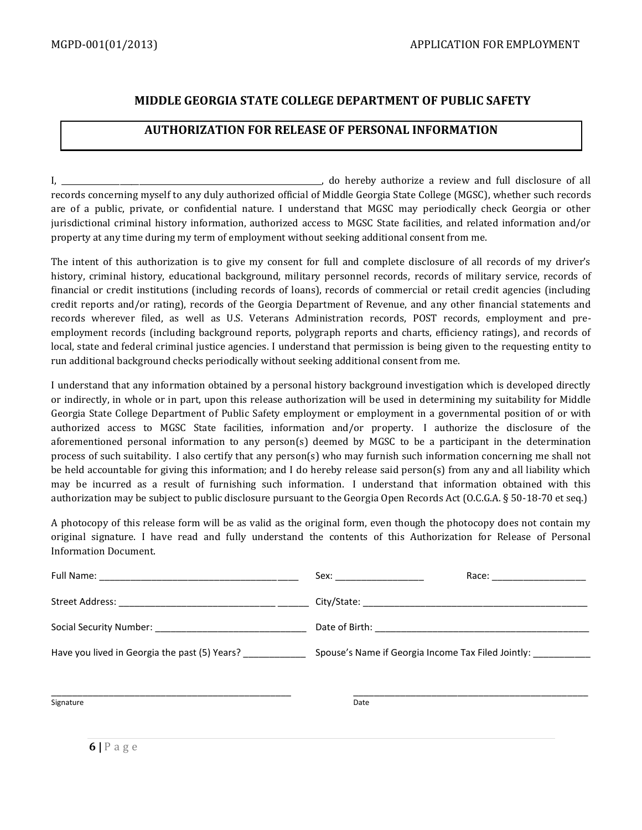#### **MIDDLE GEORGIA STATE COLLEGE DEPARTMENT OF PUBLIC SAFETY**

#### **AUTHORIZATION FOR RELEASE OF PERSONAL INFORMATION**

I, \_\_\_\_\_\_\_\_\_\_\_\_\_\_\_\_\_\_\_\_\_\_\_\_\_\_\_\_\_\_\_\_\_\_\_\_\_\_\_\_\_\_\_\_\_\_\_\_\_\_\_\_\_\_\_\_\_\_\_\_\_\_\_\_\_\_\_, do hereby authorize a review and full disclosure of all records concerning myself to any duly authorized official of Middle Georgia State College (MGSC), whether such records are of a public, private, or confidential nature. I understand that MGSC may periodically check Georgia or other jurisdictional criminal history information, authorized access to MGSC State facilities, and related information and/or property at any time during my term of employment without seeking additional consent from me.

The intent of this authorization is to give my consent for full and complete disclosure of all records of my driver's history, criminal history, educational background, military personnel records, records of military service, records of financial or credit institutions (including records of loans), records of commercial or retail credit agencies (including credit reports and/or rating), records of the Georgia Department of Revenue, and any other financial statements and records wherever filed, as well as U.S. Veterans Administration records, POST records, employment and preemployment records (including background reports, polygraph reports and charts, efficiency ratings), and records of local, state and federal criminal justice agencies. I understand that permission is being given to the requesting entity to run additional background checks periodically without seeking additional consent from me.

I understand that any information obtained by a personal history background investigation which is developed directly or indirectly, in whole or in part, upon this release authorization will be used in determining my suitability for Middle Georgia State College Department of Public Safety employment or employment in a governmental position of or with authorized access to MGSC State facilities, information and/or property. I authorize the disclosure of the aforementioned personal information to any person(s) deemed by MGSC to be a participant in the determination process of such suitability. I also certify that any person(s) who may furnish such information concerning me shall not be held accountable for giving this information; and I do hereby release said person(s) from any and all liability which may be incurred as a result of furnishing such information. I understand that information obtained with this authorization may be subject to public disclosure pursuant to the Georgia Open Records Act (O.C.G.A. § 50-18-70 et seq.)

A photocopy of this release form will be as valid as the original form, even though the photocopy does not contain my original signature. I have read and fully understand the contents of this Authorization for Release of Personal Information Document.

|                                               | Race: and the second second the second second second second second second second second second second second s |
|-----------------------------------------------|----------------------------------------------------------------------------------------------------------------|
|                                               |                                                                                                                |
|                                               |                                                                                                                |
| Have you lived in Georgia the past (5) Years? | Spouse's Name if Georgia Income Tax Filed Jointly: __________                                                  |
|                                               |                                                                                                                |
| Signature                                     | Date                                                                                                           |
|                                               |                                                                                                                |

**6 |** P a g e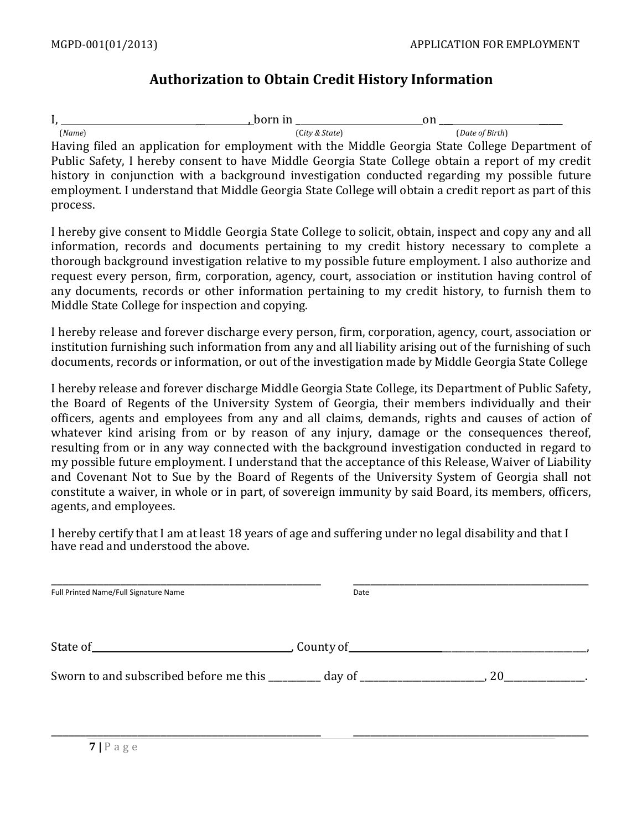## **Authorization to Obtain Credit History Information**

I,  $_{(Name)}$  , born in  $_{(City & State)}$  on  $_{(Detve & State)}$  (*Name*) (C*ity & State*) (*Date of Birth*) Having filed an application for employment with the Middle Georgia State College Department of Public Safety, I hereby consent to have Middle Georgia State College obtain a report of my credit history in conjunction with a background investigation conducted regarding my possible future employment. I understand that Middle Georgia State College will obtain a credit report as part of this process.

I hereby give consent to Middle Georgia State College to solicit, obtain, inspect and copy any and all information, records and documents pertaining to my credit history necessary to complete a thorough background investigation relative to my possible future employment. I also authorize and request every person, firm, corporation, agency, court, association or institution having control of any documents, records or other information pertaining to my credit history, to furnish them to Middle State College for inspection and copying.

I hereby release and forever discharge every person, firm, corporation, agency, court, association or institution furnishing such information from any and all liability arising out of the furnishing of such documents, records or information, or out of the investigation made by Middle Georgia State College

I hereby release and forever discharge Middle Georgia State College, its Department of Public Safety, the Board of Regents of the University System of Georgia, their members individually and their officers, agents and employees from any and all claims, demands, rights and causes of action of whatever kind arising from or by reason of any injury, damage or the consequences thereof, resulting from or in any way connected with the background investigation conducted in regard to my possible future employment. I understand that the acceptance of this Release, Waiver of Liability and Covenant Not to Sue by the Board of Regents of the University System of Georgia shall not constitute a waiver, in whole or in part, of sovereign immunity by said Board, its members, officers, agents, and employees.

I hereby certify that I am at least 18 years of age and suffering under no legal disability and that I have read and understood the above.

| Full Printed Name/Full Signature Name                                            | Date |                                      |  |
|----------------------------------------------------------------------------------|------|--------------------------------------|--|
| State of                                                                         |      |                                      |  |
| Sworn to and subscribed before me this _________ day of ________________________ |      | 20<br><b>Contract Contract State</b> |  |

\_\_\_\_\_\_\_\_\_\_\_\_\_\_\_\_\_\_\_\_\_\_\_\_\_\_\_\_\_\_\_\_\_\_\_\_\_\_\_\_\_\_\_\_\_\_\_ \_\_\_\_\_\_\_\_\_\_\_\_\_\_\_\_\_\_\_\_\_\_\_\_\_\_\_\_\_\_\_\_\_\_\_\_\_\_\_\_\_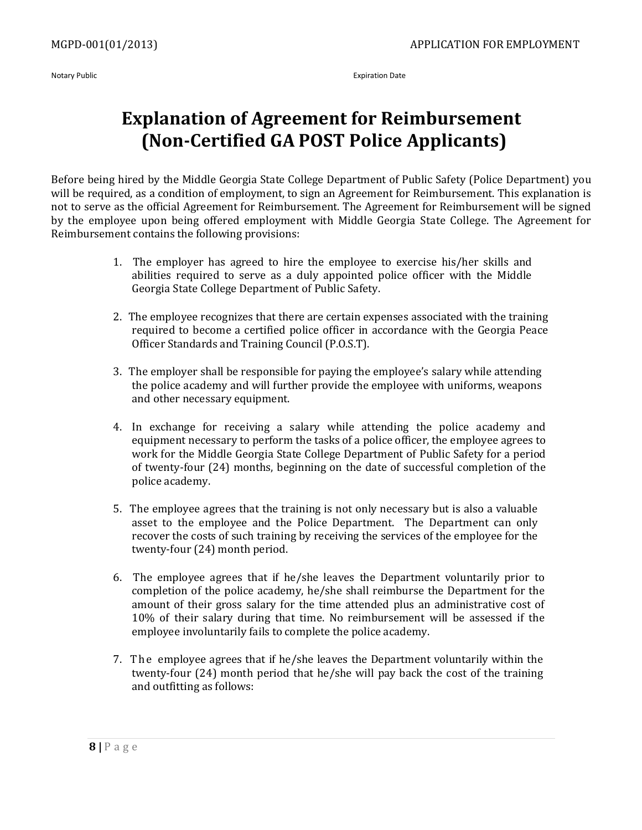Notary Public **Expiration Date** 

# **Explanation of Agreement for Reimbursement (Non-Certified GA POST Police Applicants)**

Before being hired by the Middle Georgia State College Department of Public Safety (Police Department) you will be required, as a condition of employment, to sign an Agreement for Reimbursement. This explanation is not to serve as the official Agreement for Reimbursement. The Agreement for Reimbursement will be signed by the employee upon being offered employment with Middle Georgia State College. The Agreement for Reimbursement contains the following provisions:

- 1. The employer has agreed to hire the employee to exercise his/her skills and abilities required to serve as a duly appointed police officer with the Middle Georgia State College Department of Public Safety.
- 2. The employee recognizes that there are certain expenses associated with the training required to become a certified police officer in accordance with the Georgia Peace Officer Standards and Training Council (P.O.S.T).
- 3. The employer shall be responsible for paying the employee's salary while attending the police academy and will further provide the employee with uniforms, weapons and other necessary equipment.
- 4. In exchange for receiving a salary while attending the police academy and equipment necessary to perform the tasks of a police officer, the employee agrees to work for the Middle Georgia State College Department of Public Safety for a period of twenty-four (24) months, beginning on the date of successful completion of the police academy.
- 5. The employee agrees that the training is not only necessary but is also a valuable asset to the employee and the Police Department. The Department can only recover the costs of such training by receiving the services of the employee for the twenty-four (24) month period.
- 6. The employee agrees that if he/she leaves the Department voluntarily prior to completion of the police academy, he/she shall reimburse the Department for the amount of their gross salary for the time attended plus an administrative cost of 10% of their salary during that time. No reimbursement will be assessed if the employee involuntarily fails to complete the police academy.
- 7. The employee agrees that if he/she leaves the Department voluntarily within the twenty-four (24) month period that he/she will pay back the cost of the training and outfitting as follows: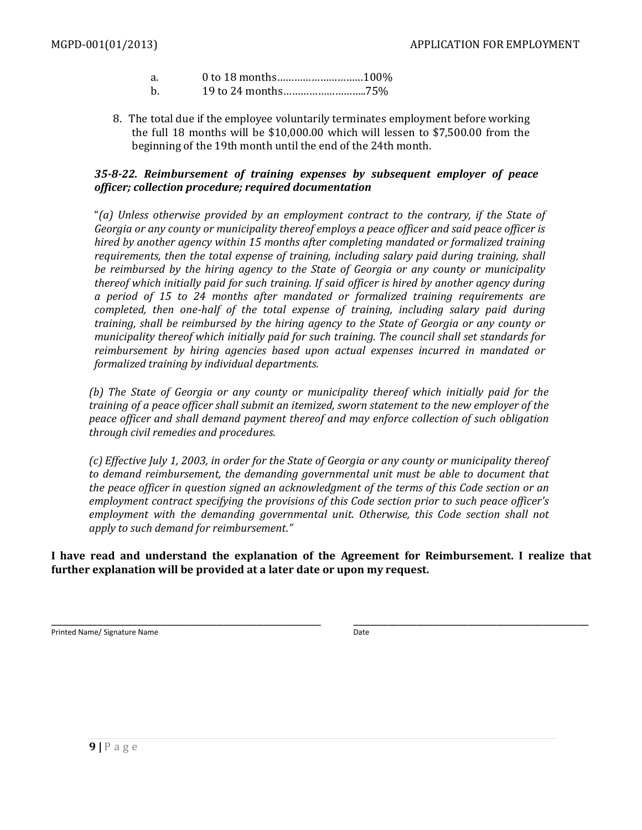| a. |  |  |
|----|--|--|
|    |  |  |

- b. 19 to 24 months………………………..75%
- 8. The total due if the employee voluntarily terminates employment before working the full 18 months will be \$10,000.00 which will lessen to \$7,500.00 from the beginning of the 19th month until the end of the 24th month.

#### *35-8-22. Reimbursement of training expenses by subsequent employer of peace officer; collection procedure; required documentation*

"*(a) Unless otherwise provided by an employment contract to the contrary, if the State of Georgia or any county or municipality thereof employs a peace officer and said peace officer is hired by another agency within 15 months after completing mandated or formalized training requirements, then the total expense of training, including salary paid during training, shall be reimbursed by the hiring agency to the State of Georgia or any county or municipality thereof which initially paid for such training. If said officer is hired by another agency during a period of 15 to 24 months after mandated or formalized training requirements are completed, then one-half of the total expense of training, including salary paid during training, shall be reimbursed by the hiring agency to the State of Georgia or any county or municipality thereof which initially paid for such training. The council shall set standards for reimbursement by hiring agencies based upon actual expenses incurred in mandated or formalized training by individual departments.*

*(b) The State of Georgia or any county or municipality thereof which initially paid for the training of a peace officer shall submit an itemized, sworn statement to the new employer of the peace officer and shall demand payment thereof and may enforce collection of such obligation through civil remedies and procedures.*

*(c) Effective July 1, 2003, in order for the State of Georgia or any county or municipality thereof to demand reimbursement, the demanding governmental unit must be able to document that the peace officer in question signed an acknowledgment of the terms of this Code section or an employment contract specifying the provisions of this Code section prior to such peace officer's employment with the demanding governmental unit. Otherwise, this Code section shall not apply to such demand for reimbursement."*

**I have read and understand the explanation of the Agreement for Reimbursement. I realize that further explanation will be provided at a later date or upon my request.**

Printed Name/ Signature Name **Date Date Date Date Date Date Date Date** 

\_\_\_\_\_\_\_\_\_\_\_\_\_\_\_\_\_\_\_\_\_\_\_\_\_\_\_\_\_\_\_\_\_\_\_\_\_\_\_\_\_\_\_\_\_\_\_ \_\_\_\_\_\_\_\_\_\_\_\_\_\_\_\_\_\_\_\_\_\_\_\_\_\_\_\_\_\_\_\_\_\_\_\_\_\_\_\_\_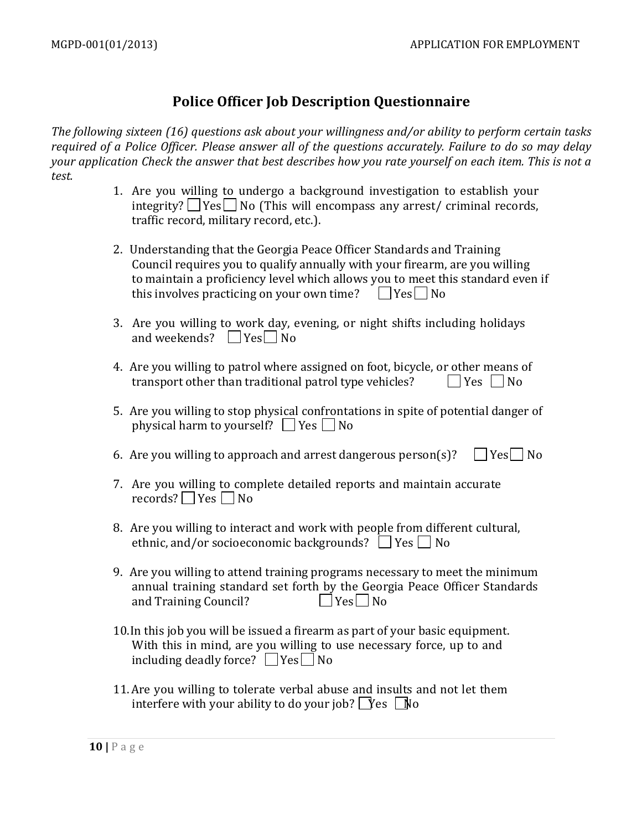## **Police Officer Job Description Questionnaire**

*The following sixteen (16) questions ask about your willingness and/or ability to perform certain tasks required of a Police Officer. Please answer all of the questions accurately. Failure to do so may delay your application Check the answer that best describes how you rate yourself on each item. This is not a test.*

- 1. Are you willing to undergo a background investigation to establish your integrity?  $\Box$  Yes  $\Box$  No (This will encompass any arrest/ criminal records, traffic record, military record, etc.).
- 2. Understanding that the Georgia Peace Officer Standards and Training Council requires you to qualify annually with your firearm, are you willing to maintain a proficiency level which allows you to meet this standard even if this involves practicing on your own time?  $\Box$  Yes  $\Box$  No
- 3. Are you willing to work day, evening, or night shifts including holidays and weekends?  $\Box$  Yes  $\Box$  No
- 4. Are you willing to patrol where assigned on foot, bicycle, or other means of transport other than traditional patrol type vehicles?  $\Box$  Yes  $\Box$  No
- 5. Are you willing to stop physical confrontations in spite of potential danger of physical harm to yourself?  $\Box$  Yes  $\Box$  No
- 6. Are you willing to approach and arrest dangerous person(s)?  $\Box$  Yes  $\Box$  No
- 7. Are you willing to complete detailed reports and maintain accurate records?  $\Box$  Yes  $\Box$  No
- 8. Are you willing to interact and work with people from different cultural, ethnic, and/or socioeconomic backgrounds?  $\Box$  Yes  $\Box$  No
- 9. Are you willing to attend training programs necessary to meet the minimum annual training standard set forth by the Georgia Peace Officer Standards and Training Council?  $\Box$  Yes  $\Box$  No
- 10.In this job you will be issued a firearm as part of your basic equipment. With this in mind, are you willing to use necessary force, up to and including deadly force?  $\Box$  Yes  $\Box$  No
- 11.Are you willing to tolerate verbal abuse and insults and not let them interfere with your ability to do your job?  $\Gamma$  es  $\Gamma$  No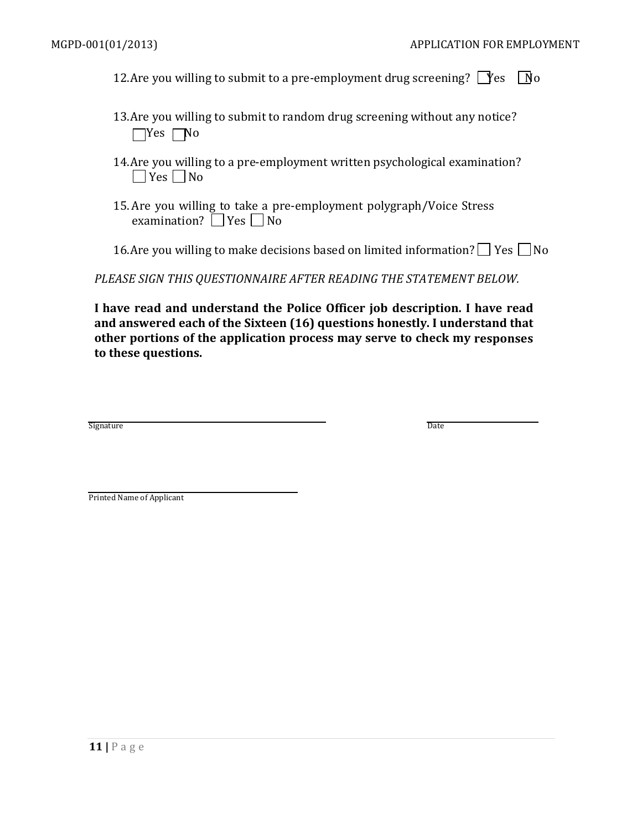12. Are you willing to submit to a pre-employment drug screening?  $\Box$  Yes  $\Box$  No

- 13.Are you willing to submit to random drug screening without any notice?  $\Box$ Yes  $\Box$ No
- 14.Are you willing to a pre-employment written psychological examination?  $\Box$  Yes  $\Box$  No
- 15.Are you willing to take a pre-employment polygraph/Voice Stress examination?  $\Box$  Yes  $\Box$  No
- 16.Are you willing to make decisions based on limited information?  $\Box$  Yes  $\Box$  No

*PLEASE SIGN THIS QUESTIONNAIRE AFTER READING THE STATEMENT BELOW.*

**I have read and understand the Police Officer job description. I have read and answered each of the Sixteen (16) questions honestly. I understand that other portions of the application process may serve to check my responses to these questions.**

Signature **Date** 

Printed Name of Applicant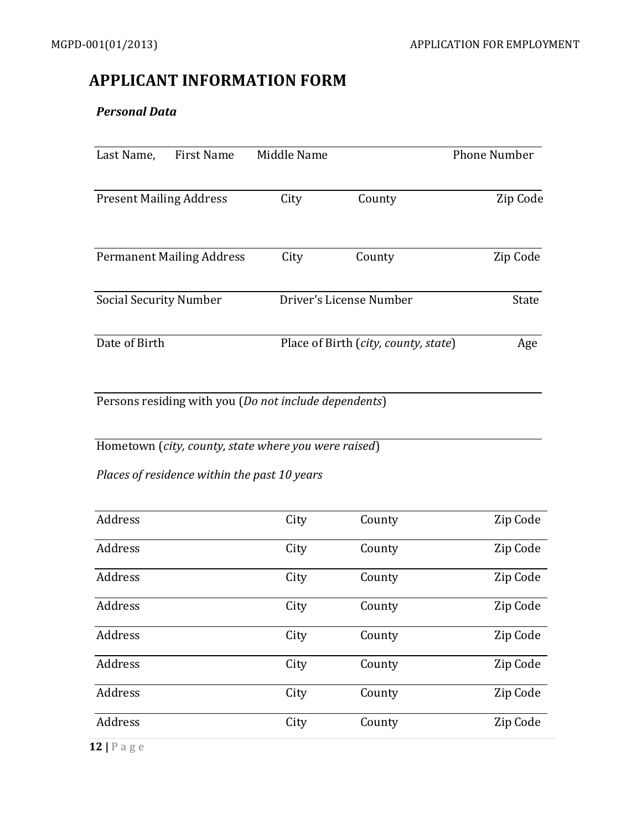## **APPLICANT INFORMATION FORM**

#### *Personal Data*

| Last Name,                     | <b>First Name</b>                | Middle Name                                           |                                      | <b>Phone Number</b> |
|--------------------------------|----------------------------------|-------------------------------------------------------|--------------------------------------|---------------------|
| <b>Present Mailing Address</b> |                                  | City                                                  | County                               | Zip Code            |
|                                | <b>Permanent Mailing Address</b> | City                                                  | County                               | Zip Code            |
| <b>Social Security Number</b>  |                                  |                                                       | Driver's License Number              | <b>State</b>        |
| Date of Birth                  |                                  |                                                       | Place of Birth (city, county, state) | Age                 |
|                                |                                  | Persons residing with you (Do not include dependents) |                                      |                     |

Hometown (*city, county, state where you were raised*)

*Places of residence within the past 10 years*

| Address        | City | County | Zip Code |
|----------------|------|--------|----------|
| Address        | City | County | Zip Code |
| Address        | City | County | Zip Code |
| Address        | City | County | Zip Code |
| Address        | City | County | Zip Code |
| Address        | City | County | Zip Code |
| Address        | City | County | Zip Code |
| Address        | City | County | Zip Code |
| $12$   P a g e |      |        |          |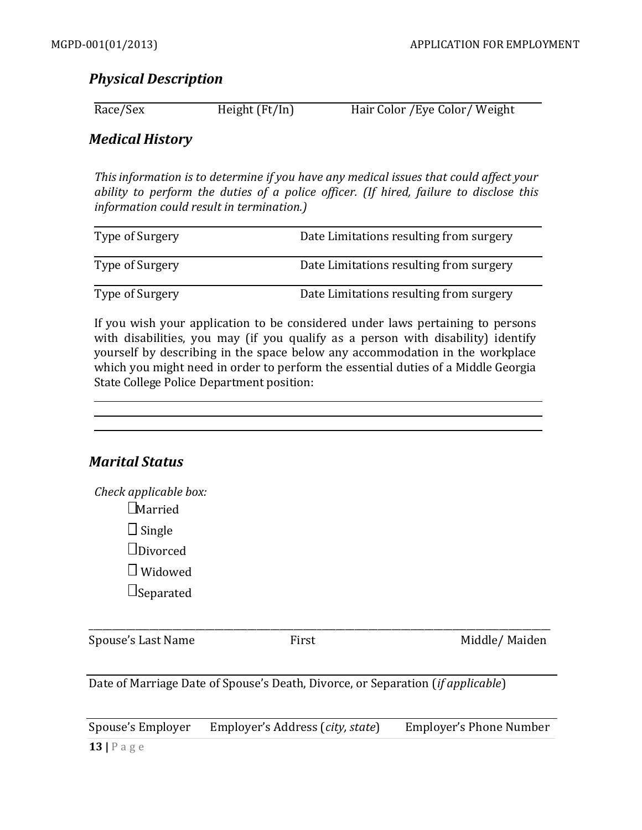## *Physical Description*

| Race/Sex | Height (Ft/In) | Hair Color / Eye Color / Weight |
|----------|----------------|---------------------------------|
|          |                |                                 |

### *Medical History*

*Thisinformation is to determine if you have any medical issues that could affect your ability to perform the duties of a police officer. (If hired, failure to disclose this information could result in termination.)*

| Type of Surgery | Date Limitations resulting from surgery |
|-----------------|-----------------------------------------|
| Type of Surgery | Date Limitations resulting from surgery |
| Type of Surgery | Date Limitations resulting from surgery |

If you wish your application to be considered under laws pertaining to persons with disabilities, you may (if you qualify as a person with disability) identify yourself by describing in the space below any accommodation in the workplace which you might need in order to perform the essential duties of a Middle Georgia State College Police Department position:

| <b>Marital Status</b>                   |  |  |
|-----------------------------------------|--|--|
| Check applicable box:<br>$\Box$ Married |  |  |
| $\Box$ Single                           |  |  |
| $\Box$ Divorced                         |  |  |
| Widowed                                 |  |  |

 $\Box$ Separated

Spouse's Last Name First First Middle/ Maiden

Date of Marriage Date of Spouse's Death, Divorce, or Separation (*if applicable*)

Spouse's Employer Employer's Address (*city, state*) Employer's Phone Number

\_\_\_\_\_\_\_\_\_\_\_\_\_\_\_\_\_\_\_\_\_\_\_\_\_\_\_\_\_\_\_\_\_\_\_\_\_\_\_\_\_\_\_\_\_\_\_\_\_\_\_\_\_\_\_\_\_\_\_\_\_\_\_\_\_\_\_\_\_\_\_\_\_\_\_\_\_\_\_\_\_\_\_\_\_\_\_\_\_\_\_\_\_\_\_\_\_\_\_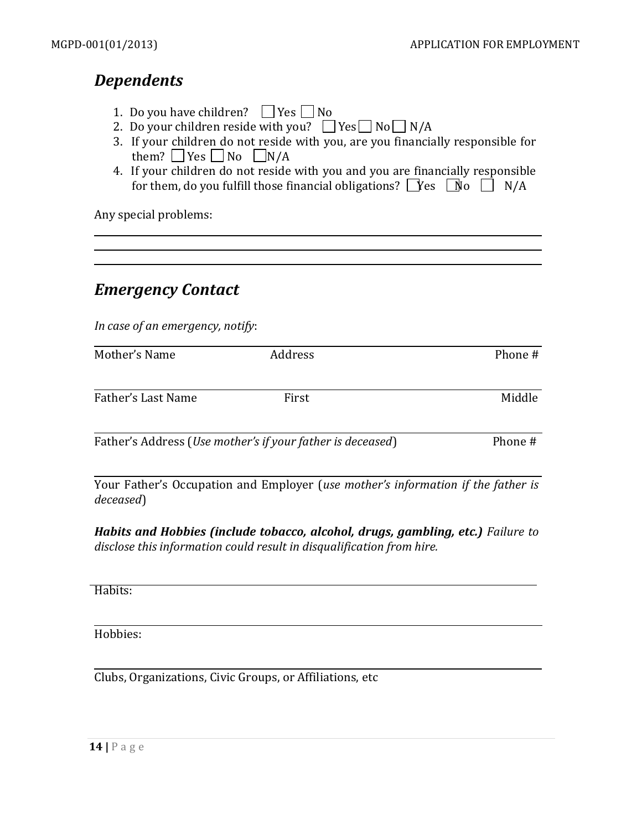# *Dependents*

- 1. Do you have children?  $\Box$  Yes  $\Box$  No
- 2. Do your children reside with you?  $\Box$  Yes  $\Box$  No  $\Box$  N/A
- 3. If your children do not reside with you, are you financially responsible for them?  $\Box$  Yes  $\Box$  No  $\Box$  N/A
- 4. If your children do not reside with you and you are financially responsible for them, do you fulfill those financial obligations?  $\Box$  Yes  $\Box$  N/A

Any special problems:

## *Emergency Contact*

*In case of an emergency, notify*:

| Mother's Name      | Address | Phone # |
|--------------------|---------|---------|
|                    |         |         |
| Father's Last Name | First   | Middle  |
|                    |         |         |

Father's Address (*Use mother's if your father is deceased*) Phone #

Your Father's Occupation and Employer (*use mother's information if the father is deceased*)

*Habits and Hobbies (include tobacco, alcohol, drugs, gambling, etc.) Failure to disclose this information could result in disqualification from hire.*

Habits:

Hobbies:

Clubs, Organizations, Civic Groups, or Affiliations, etc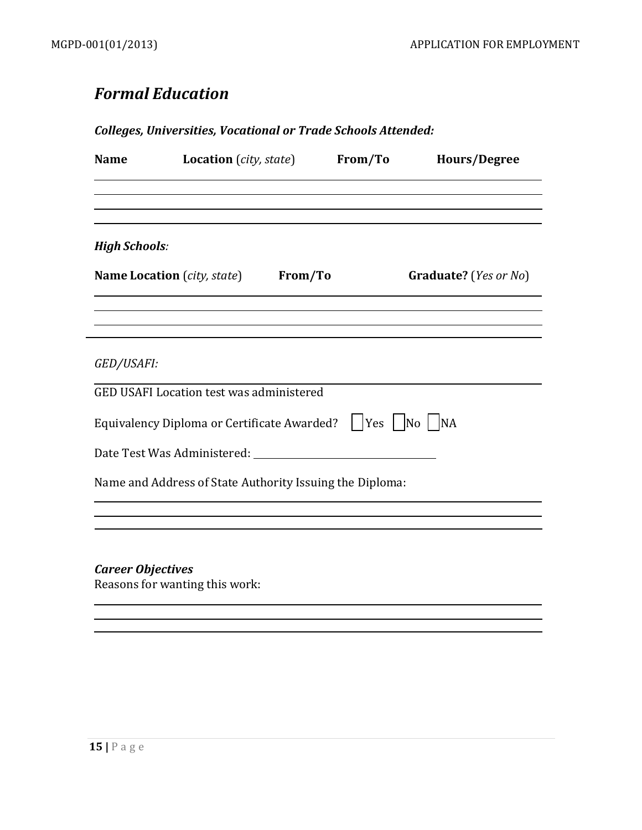# *Formal Education*

#### *Colleges, Universities, Vocational or Trade Schools Attended:*

| Graduate? ( <i>Yes or No</i> )                                    |
|-------------------------------------------------------------------|
|                                                                   |
| Equivalency Diploma or Certificate Awarded?     Yes     No     NA |
|                                                                   |
|                                                                   |
|                                                                   |

<u> 1989 - Andrea Station Barbara, actor a component de la componentación de la componentación de la componentaci</u>

*Career Objectives* Reasons for wanting this work: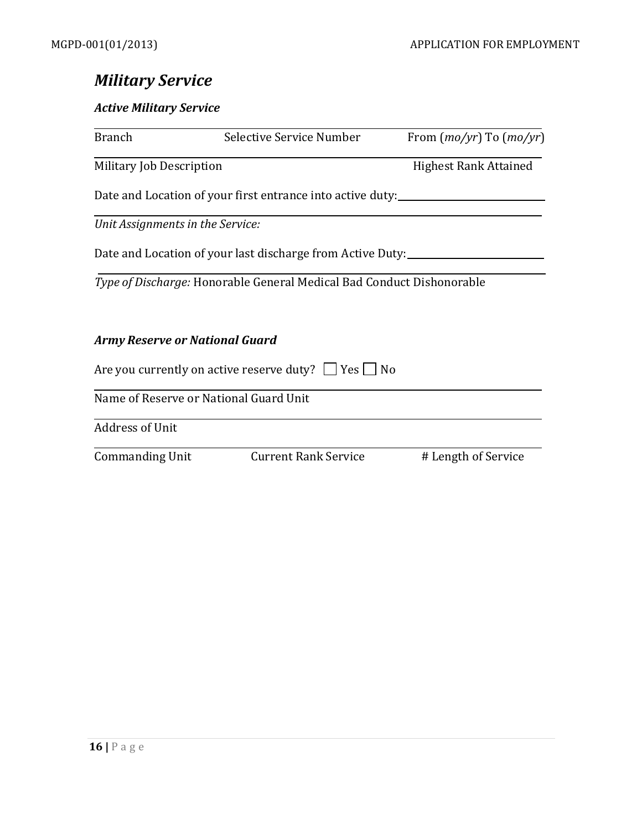# *Military Service*

#### *Active Military Service*

| <b>Branch</b>                         | Selective Service Number                                              | From $(mo/yr)$ To $(mo/yr)$  |
|---------------------------------------|-----------------------------------------------------------------------|------------------------------|
| Military Job Description              |                                                                       | <b>Highest Rank Attained</b> |
|                                       | Date and Location of your first entrance into active duty:            |                              |
| Unit Assignments in the Service:      |                                                                       |                              |
|                                       | Date and Location of your last discharge from Active Duty:            |                              |
|                                       | Type of Discharge: Honorable General Medical Bad Conduct Dishonorable |                              |
| <b>Army Reserve or National Guard</b> |                                                                       |                              |
|                                       | Are you currently on active reserve duty? $\Box$ Yes $\Box$ No        |                              |
|                                       | Name of Reserve or National Guard Unit                                |                              |
| <b>Address of Unit</b>                |                                                                       |                              |
| <b>Commanding Unit</b>                | <b>Current Rank Service</b>                                           | # Length of Service          |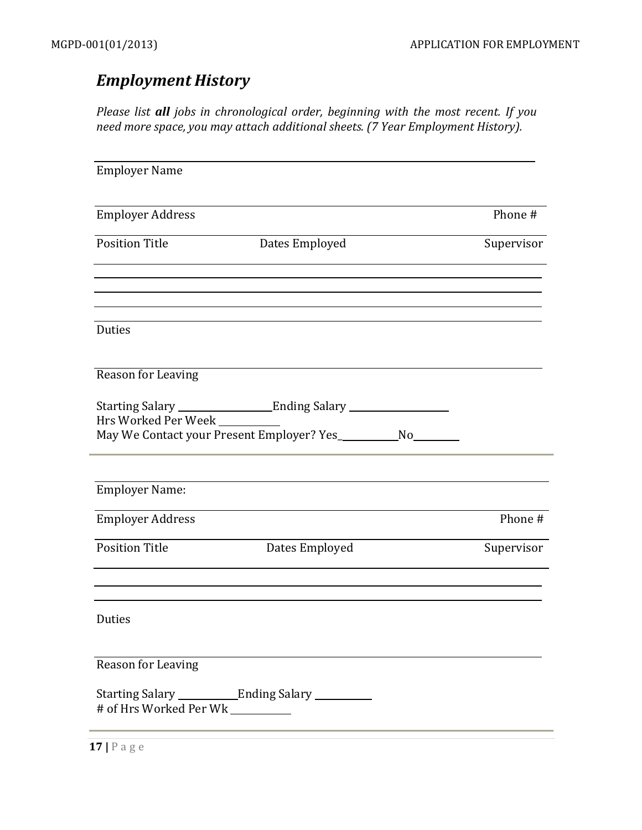# *Employment History*

*Please list all jobs in chronological order, beginning with the most recent. If you need more space, you may attach additional sheets. (7 Year Employment History).*

| <b>Employer Name</b>      |                                                                   |            |
|---------------------------|-------------------------------------------------------------------|------------|
| <b>Employer Address</b>   |                                                                   | Phone #    |
| <b>Position Title</b>     | Dates Employed                                                    | Supervisor |
|                           |                                                                   |            |
| Duties                    |                                                                   |            |
| <b>Reason for Leaving</b> |                                                                   |            |
| Hrs Worked Per Week       |                                                                   |            |
|                           | May We Contact your Present Employer? Yes_____________ No________ |            |
|                           |                                                                   |            |
| <b>Employer Name:</b>     |                                                                   |            |
| <b>Employer Address</b>   |                                                                   | Phone #    |
| <b>Position Title</b>     | Dates Employed                                                    | Supervisor |
|                           |                                                                   |            |
| Duties                    |                                                                   |            |
| Reason for Leaving        |                                                                   |            |
| # of Hrs Worked Per Wk    |                                                                   |            |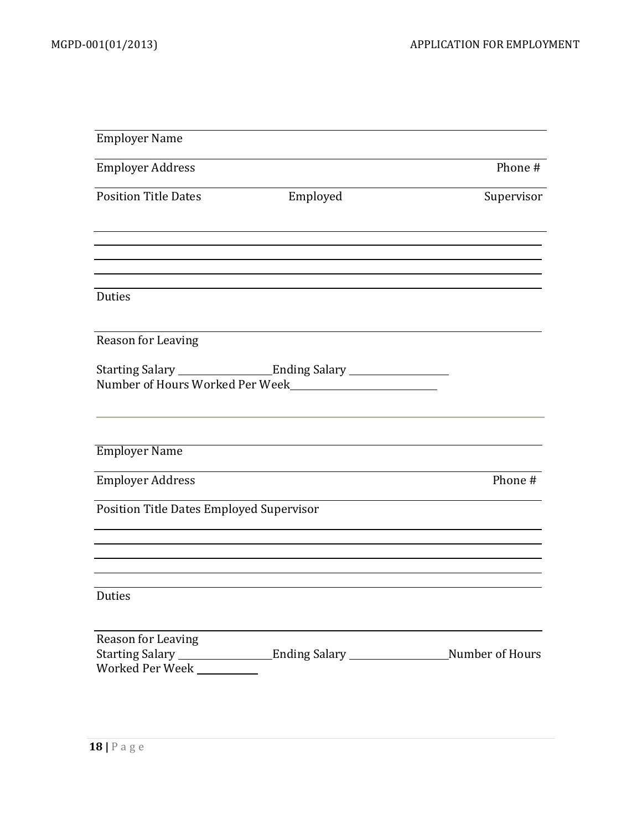| <b>Employer Name</b>                                       |                                 |                               |
|------------------------------------------------------------|---------------------------------|-------------------------------|
| <b>Employer Address</b>                                    |                                 | Phone #                       |
| <b>Position Title Dates</b>                                | Employed                        | Supervisor                    |
|                                                            |                                 |                               |
|                                                            |                                 |                               |
| Duties                                                     |                                 |                               |
| Reason for Leaving                                         |                                 |                               |
|                                                            | Number of Hours Worked Per Week |                               |
| <b>Employer Name</b>                                       |                                 |                               |
| <b>Employer Address</b>                                    |                                 | Phone #                       |
| Position Title Dates Employed Supervisor                   |                                 |                               |
|                                                            |                                 |                               |
| Duties                                                     |                                 |                               |
| Reason for Leaving<br>Starting Salary _<br>Worked Per Week |                                 | Ending Salary Number of Hours |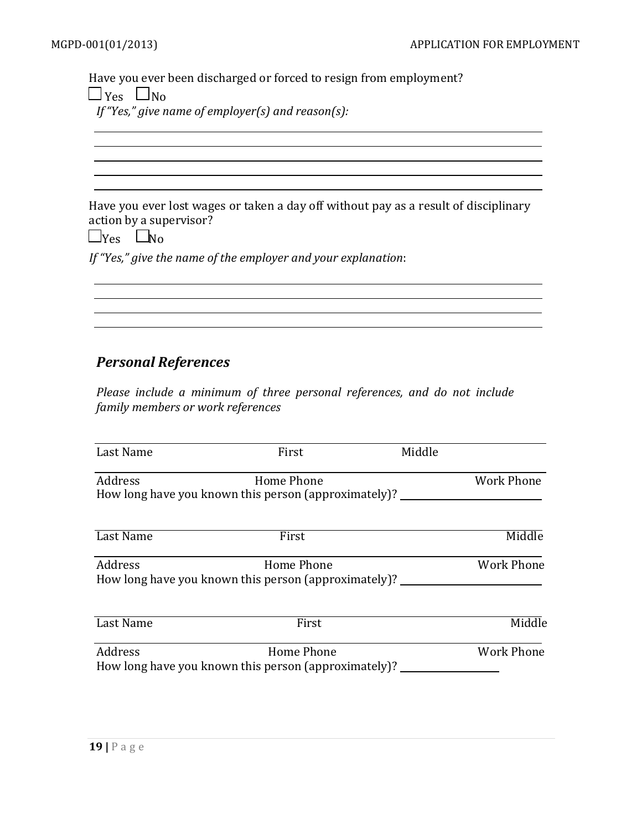Have you ever been discharged or forced to resign from employment?

 $\Box$  Yes  $\Box$  No

*If"Yes," give name of employer(s) and reason(s):*

Have you ever lost wages or taken a day off without pay as a result of disciplinary action by a supervisor?

and the control of the control of the control of the control of the control of the control of the control of the

 $\Box$ Yes  $\Box$ No

*If "Yes," give the name of the employer and your explanation*:

## *Personal References*

*Please include a minimum of three personal references, and do not include family members or work references*

| Last Name | First                                                                     | Middle |                   |
|-----------|---------------------------------------------------------------------------|--------|-------------------|
| Address   | Home Phone<br>How long have you known this person (approximately)? ______ |        | Work Phone        |
| Last Name | First                                                                     |        | Middle            |
| Address   | Home Phone<br>How long have you known this person (approximately)? ______ |        | <b>Work Phone</b> |
| Last Name | First                                                                     |        | Middle            |
| Address   | Home Phone                                                                |        | <b>Work Phone</b> |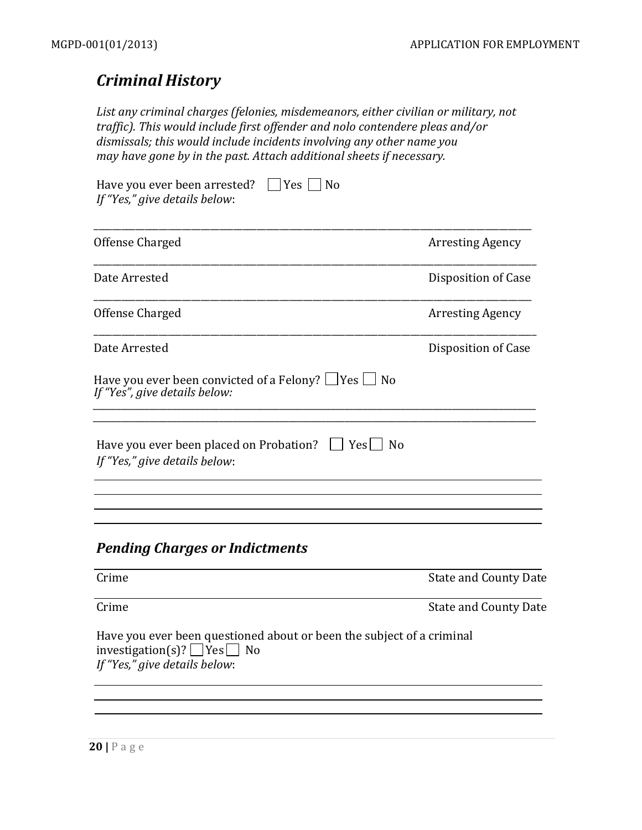# *Criminal History*

*List any criminal charges (felonies, misdemeanors, either civilian or military, not traffic). This would include first offender and nolo contendere pleas and/or dismissals; this would include incidents involving any other name you may have gone by in the past. Attach additional sheets if necessary.*

| $\Box$ Yes $\Box$ No<br>Have you ever been arrested?<br>If "Yes," give details below:                                                            |                              |
|--------------------------------------------------------------------------------------------------------------------------------------------------|------------------------------|
| Offense Charged                                                                                                                                  | <b>Arresting Agency</b>      |
| Date Arrested                                                                                                                                    | Disposition of Case          |
| Offense Charged                                                                                                                                  | <b>Arresting Agency</b>      |
| Date Arrested                                                                                                                                    | Disposition of Case          |
| Have you ever been convicted of a Felony? $\Box$ Yes $\Box$ No<br>If "Yes", give details below:                                                  |                              |
| Have you ever been placed on Probation?<br>$ $   Yes $ $   No<br>If "Yes," give details below:                                                   |                              |
| <b>Pending Charges or Indictments</b><br>Crime                                                                                                   | <b>State and County Date</b> |
| Crime                                                                                                                                            | <b>State and County Date</b> |
| Have you ever been questioned about or been the subject of a criminal<br>investigation(s)? $\Box$ Yes $\Box$ No<br>If "Yes," give details below: |                              |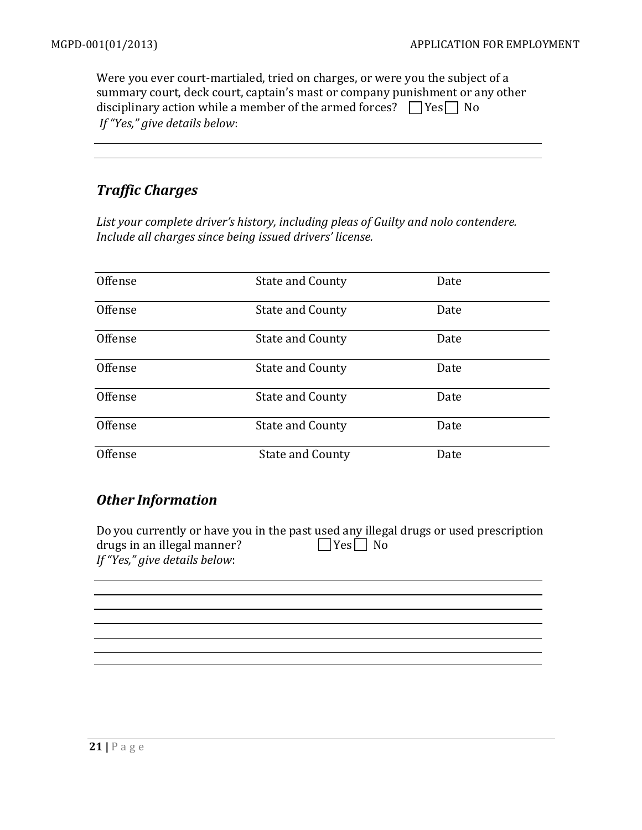Were you ever court-martialed, tried on charges, or were you the subject of a summary court, deck court, captain's mast or company punishment or any other disciplinary action while a member of the armed forces?  $\Box$  Yes  $\Box$  No *If "Yes," give details below*:

## *Traffic Charges*

*List your complete driver's history, including pleas of Guilty and nolo contendere. Include all charges since being issued drivers' license.*

| Offense | <b>State and County</b> | Date |  |
|---------|-------------------------|------|--|
| Offense | <b>State and County</b> | Date |  |
| Offense | <b>State and County</b> | Date |  |
| Offense | <b>State and County</b> | Date |  |
| Offense | <b>State and County</b> | Date |  |
| Offense | <b>State and County</b> | Date |  |
| Offense | <b>State and County</b> | Date |  |

## *Other Information*

|                               | Do you currently or have you in the past used any illegal drugs or used prescription |
|-------------------------------|--------------------------------------------------------------------------------------|
| drugs in an illegal manner?   | $\Box$ Yes $\Box$ No                                                                 |
| If "Yes," give details below: |                                                                                      |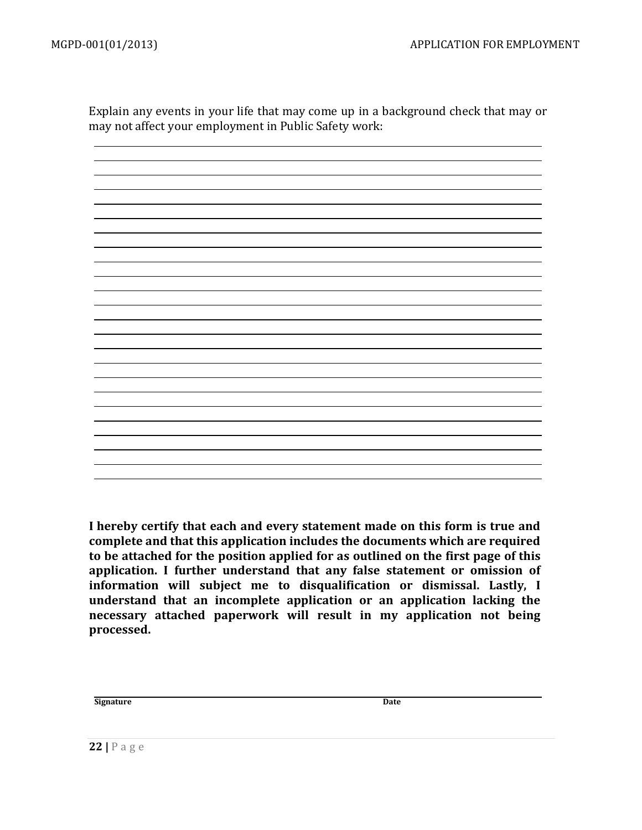Explain any events in your life that may come up in a background check that may or may not affect your employment in Public Safety work:

**I hereby certify that each and every statement made on this form is true and complete and that this application includes the documents which are required to be attached for the position applied for as outlined on the first page of this application. I further understand that any false statement or omission of information will subject me to disqualification or dismissal. Lastly, I understand that an incomplete application or an application lacking the necessary attached paperwork will result in my application not being processed.**

**Signature** Date

**22 |** P a g e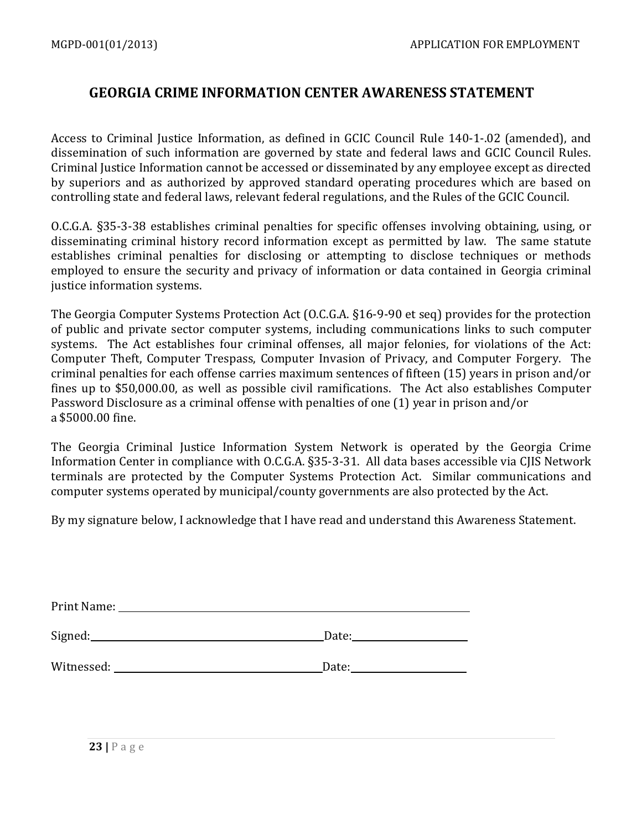#### **GEORGIA CRIME INFORMATION CENTER AWARENESS STATEMENT**

Access to Criminal Justice Information, as defined in GCIC Council Rule 140-1-.02 (amended), and dissemination of such information are governed by state and federal laws and GCIC Council Rules. Criminal Justice Information cannot be accessed or disseminated by any employee except as directed by superiors and as authorized by approved standard operating procedures which are based on controlling state and federal laws, relevant federal regulations, and the Rules of the GCIC Council.

O.C.G.A. §35-3-38 establishes criminal penalties for specific offenses involving obtaining, using, or disseminating criminal history record information except as permitted by law. The same statute establishes criminal penalties for disclosing or attempting to disclose techniques or methods employed to ensure the security and privacy of information or data contained in Georgia criminal justice information systems.

The Georgia Computer Systems Protection Act (O.C.G.A. §16-9-90 et seq) provides for the protection of public and private sector computer systems, including communications links to such computer systems. The Act establishes four criminal offenses, all major felonies, for violations of the Act: Computer Theft, Computer Trespass, Computer Invasion of Privacy, and Computer Forgery. The criminal penalties for each offense carries maximum sentences of fifteen (15) years in prison and/or fines up to \$50,000.00, as well as possible civil ramifications. The Act also establishes Computer Password Disclosure as a criminal offense with penalties of one (1) year in prison and/or a \$5000.00 fine.

The Georgia Criminal Justice Information System Network is operated by the Georgia Crime Information Center in compliance with O.C.G.A. §35-3-31. All data bases accessible via CJIS Network terminals are protected by the Computer Systems Protection Act. Similar communications and computer systems operated by municipal/county governments are also protected by the Act.

By my signature below, I acknowledge that I have read and understand this Awareness Statement.

| Print Name: |       |
|-------------|-------|
| Signed:     | Date: |
| Witnessed:  | Date: |